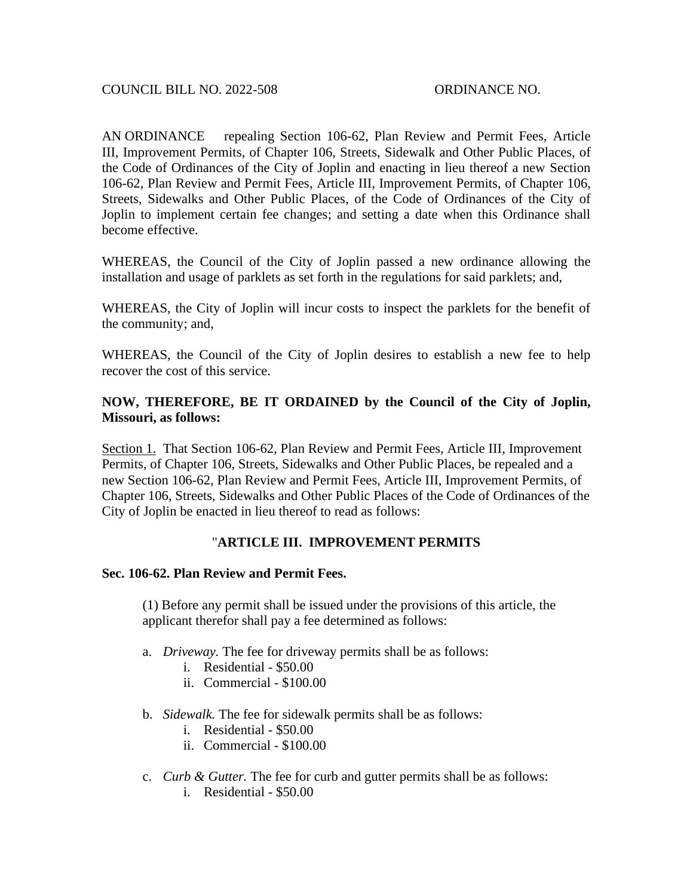AN ORDINANCE repealing Section 106-62, Plan Review and Permit Fees, Article III, Improvement Permits, of Chapter 106, Streets, Sidewalk and Other Public Places, of the Code of Ordinances of the City of Joplin and enacting in lieu thereof a new Section 106-62, Plan Review and Permit Fees, Article III, Improvement Permits, of Chapter 106, Streets, Sidewalks and Other Public Places, of the Code of Ordinances of the City of Joplin to implement certain fee changes; and setting a date when this Ordinance shall become effective.

WHEREAS, the Council of the City of Joplin passed a new ordinance allowing the installation and usage of parklets as set forth in the regulations for said parklets; and,

WHEREAS, the City of Joplin will incur costs to inspect the parklets for the benefit of the community; and,

WHEREAS, the Council of the City of Joplin desires to establish a new fee to help recover the cost of this service.

## **NOW, THEREFORE, BE IT ORDAINED by the Council of the City of Joplin, Missouri, as follows:**

Section 1. That Section 106-62, Plan Review and Permit Fees, Article III, Improvement Permits, of Chapter 106, Streets, Sidewalks and Other Public Places, be repealed and a new Section 106-62, Plan Review and Permit Fees, Article III, Improvement Permits, of Chapter 106, Streets, Sidewalks and Other Public Places of the Code of Ordinances of the City of Joplin be enacted in lieu thereof to read as follows:

## "**ARTICLE III. IMPROVEMENT PERMITS**

## **Sec. 106-62. Plan Review and Permit Fees.**

(1) Before any permit shall be issued under the provisions of this article, the applicant therefor shall pay a fee determined as follows:

- a. *Driveway.* The fee for driveway permits shall be as follows:
	- i. Residential \$50.00
	- ii. Commercial \$100.00
- b. *Sidewalk.* The fee for sidewalk permits shall be as follows:
	- i. Residential \$50.00
	- ii. Commercial \$100.00
- c. *Curb & Gutter.* The fee for curb and gutter permits shall be as follows:
	- i. Residential \$50.00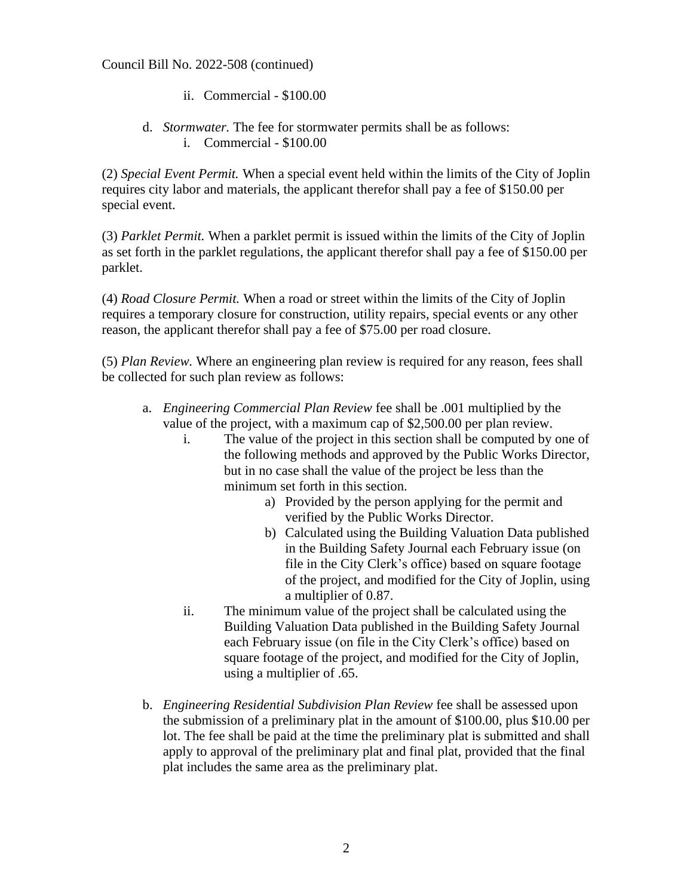Council Bill No. 2022-508 (continued)

- ii. Commercial \$100.00
- d. *Stormwater.* The fee for stormwater permits shall be as follows: i. Commercial - \$100.00

(2) *Special Event Permit.* When a special event held within the limits of the City of Joplin requires city labor and materials, the applicant therefor shall pay a fee of \$150.00 per special event.

(3) *Parklet Permit.* When a parklet permit is issued within the limits of the City of Joplin as set forth in the parklet regulations, the applicant therefor shall pay a fee of \$150.00 per parklet.

(4) *Road Closure Permit.* When a road or street within the limits of the City of Joplin requires a temporary closure for construction, utility repairs, special events or any other reason, the applicant therefor shall pay a fee of \$75.00 per road closure.

(5) *Plan Review.* Where an engineering plan review is required for any reason, fees shall be collected for such plan review as follows:

- a. *Engineering Commercial Plan Review* fee shall be .001 multiplied by the value of the project, with a maximum cap of \$2,500.00 per plan review.
	- i. The value of the project in this section shall be computed by one of the following methods and approved by the Public Works Director, but in no case shall the value of the project be less than the minimum set forth in this section.
		- a) Provided by the person applying for the permit and verified by the Public Works Director.
		- b) Calculated using the Building Valuation Data published in the Building Safety Journal each February issue (on file in the City Clerk's office) based on square footage of the project, and modified for the City of Joplin, using a multiplier of 0.87.
	- ii. The minimum value of the project shall be calculated using the Building Valuation Data published in the Building Safety Journal each February issue (on file in the City Clerk's office) based on square footage of the project, and modified for the City of Joplin, using a multiplier of .65.
- b. *Engineering Residential Subdivision Plan Review* fee shall be assessed upon the submission of a preliminary plat in the amount of \$100.00, plus \$10.00 per lot. The fee shall be paid at the time the preliminary plat is submitted and shall apply to approval of the preliminary plat and final plat, provided that the final plat includes the same area as the preliminary plat.